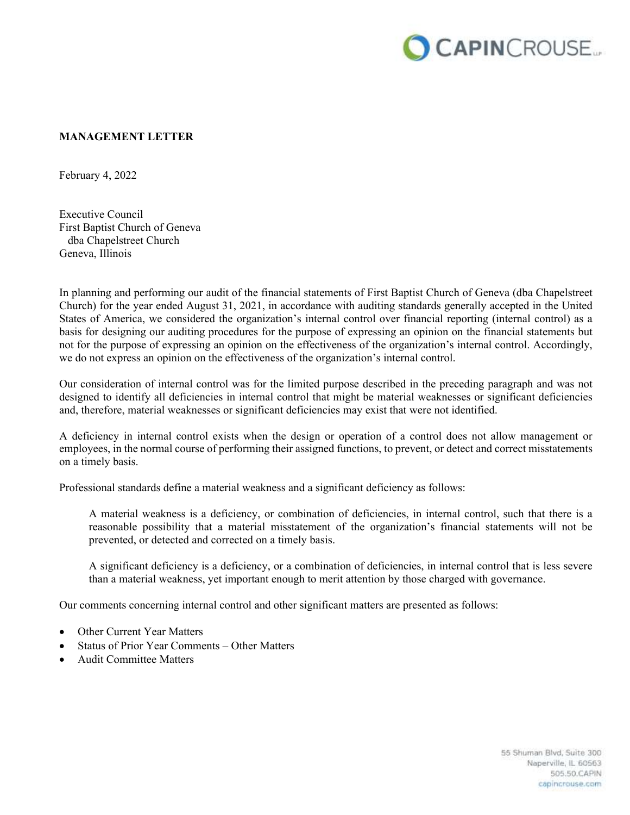

## **MANAGEMENT LETTER**

February 4, 2022

Executive Council First Baptist Church of Geneva dba Chapelstreet Church Geneva, Illinois

In planning and performing our audit of the financial statements of First Baptist Church of Geneva (dba Chapelstreet Church) for the year ended August 31, 2021, in accordance with auditing standards generally accepted in the United States of America, we considered the organization's internal control over financial reporting (internal control) as a basis for designing our auditing procedures for the purpose of expressing an opinion on the financial statements but not for the purpose of expressing an opinion on the effectiveness of the organization's internal control. Accordingly, we do not express an opinion on the effectiveness of the organization's internal control.

Our consideration of internal control was for the limited purpose described in the preceding paragraph and was not designed to identify all deficiencies in internal control that might be material weaknesses or significant deficiencies and, therefore, material weaknesses or significant deficiencies may exist that were not identified.

A deficiency in internal control exists when the design or operation of a control does not allow management or employees, in the normal course of performing their assigned functions, to prevent, or detect and correct misstatements on a timely basis.

Professional standards define a material weakness and a significant deficiency as follows:

A material weakness is a deficiency, or combination of deficiencies, in internal control, such that there is a reasonable possibility that a material misstatement of the organization's financial statements will not be prevented, or detected and corrected on a timely basis.

A significant deficiency is a deficiency, or a combination of deficiencies, in internal control that is less severe than a material weakness, yet important enough to merit attention by those charged with governance.

Our comments concerning internal control and other significant matters are presented as follows:

- Other Current Year Matters
- Status of Prior Year Comments Other Matters
- Audit Committee Matters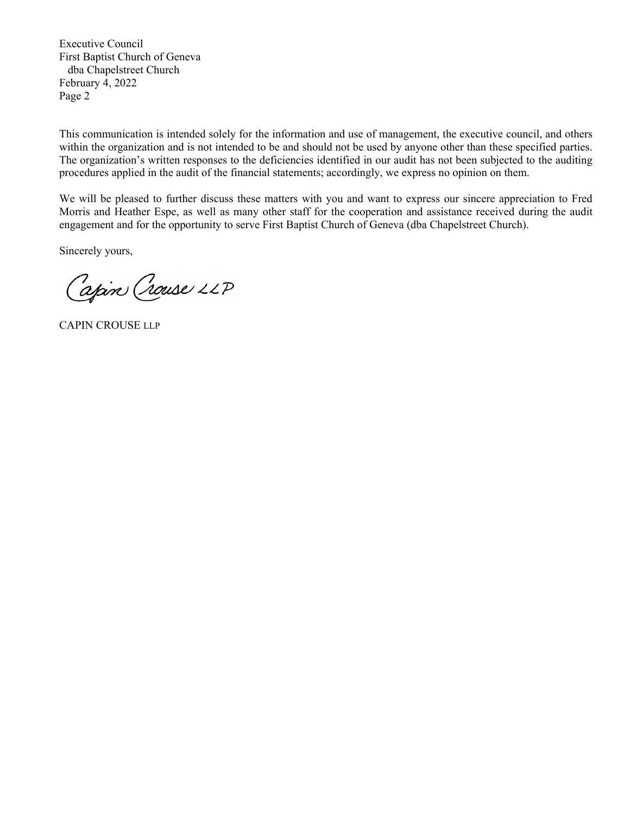This communication is intended solely for the information and use of management, the executive council, and others within the organization and is not intended to be and should not be used by anyone other than these specified parties. The organization's written responses to the deficiencies identified in our audit has not been subjected to the auditing procedures applied in the audit of the financial statements; accordingly, we express no opinion on them.

We will be pleased to further discuss these matters with you and want to express our sincere appreciation to Fred Morris and Heather Espe, as well as many other staff for the cooperation and assistance received during the audit engagement and for the opportunity to serve First Baptist Church of Geneva (dba Chapelstreet Church).

Sincerely yours,

Capin Crouse 22P

CAPIN CROUSE LLP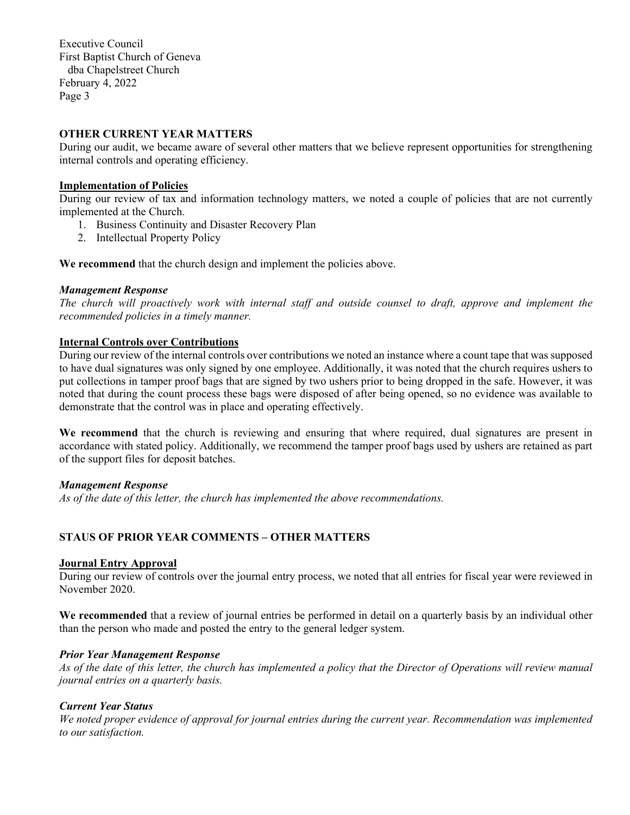### **OTHER CURRENT YEAR MATTERS**

During our audit, we became aware of several other matters that we believe represent opportunities for strengthening internal controls and operating efficiency.

### **Implementation of Policies**

During our review of tax and information technology matters, we noted a couple of policies that are not currently implemented at the Church.

- 1. Business Continuity and Disaster Recovery Plan
- 2. Intellectual Property Policy

**We recommend** that the church design and implement the policies above.

#### *Management Response*

*The church will proactively work with internal staff and outside counsel to draft, approve and implement the recommended policies in a timely manner.* 

### **Internal Controls over Contributions**

During our review of the internal controls over contributions we noted an instance where a count tape that was supposed to have dual signatures was only signed by one employee. Additionally, it was noted that the church requires ushers to put collections in tamper proof bags that are signed by two ushers prior to being dropped in the safe. However, it was noted that during the count process these bags were disposed of after being opened, so no evidence was available to demonstrate that the control was in place and operating effectively.

**We recommend** that the church is reviewing and ensuring that where required, dual signatures are present in accordance with stated policy. Additionally, we recommend the tamper proof bags used by ushers are retained as part of the support files for deposit batches.

### *Management Response*

*As of the date of this letter, the church has implemented the above recommendations.* 

### **STAUS OF PRIOR YEAR COMMENTS – OTHER MATTERS**

#### **Journal Entry Approval**

During our review of controls over the journal entry process, we noted that all entries for fiscal year were reviewed in November 2020.

**We recommended** that a review of journal entries be performed in detail on a quarterly basis by an individual other than the person who made and posted the entry to the general ledger system.

### *Prior Year Management Response*

*As of the date of this letter, the church has implemented a policy that the Director of Operations will review manual journal entries on a quarterly basis.* 

### *Current Year Status*

*We noted proper evidence of approval for journal entries during the current year. Recommendation was implemented to our satisfaction.*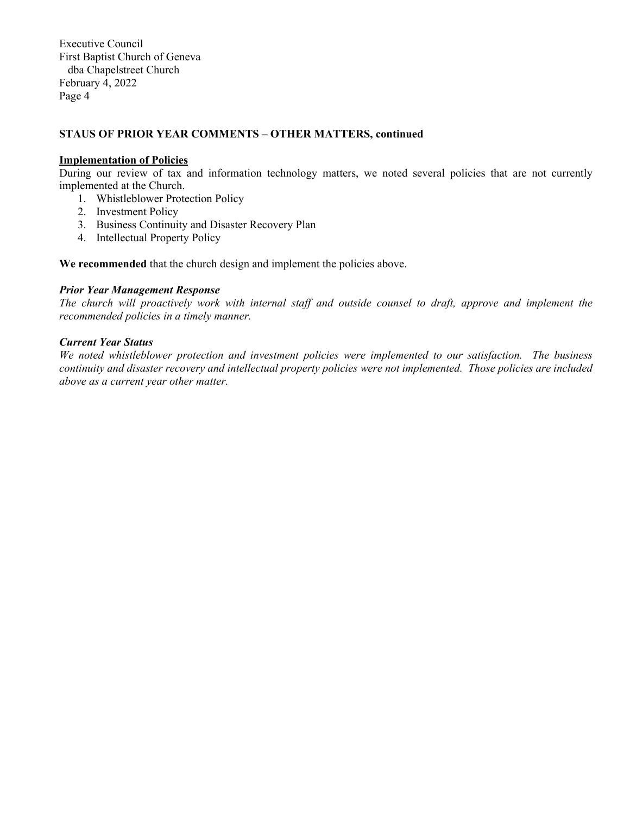## **STAUS OF PRIOR YEAR COMMENTS – OTHER MATTERS, continued**

#### **Implementation of Policies**

During our review of tax and information technology matters, we noted several policies that are not currently implemented at the Church.

- 1. Whistleblower Protection Policy
- 2. Investment Policy
- 3. Business Continuity and Disaster Recovery Plan
- 4. Intellectual Property Policy

**We recommended** that the church design and implement the policies above.

#### *Prior Year Management Response*

*The church will proactively work with internal staff and outside counsel to draft, approve and implement the recommended policies in a timely manner.* 

## *Current Year Status*

*We noted whistleblower protection and investment policies were implemented to our satisfaction. The business continuity and disaster recovery and intellectual property policies were not implemented. Those policies are included above as a current year other matter.*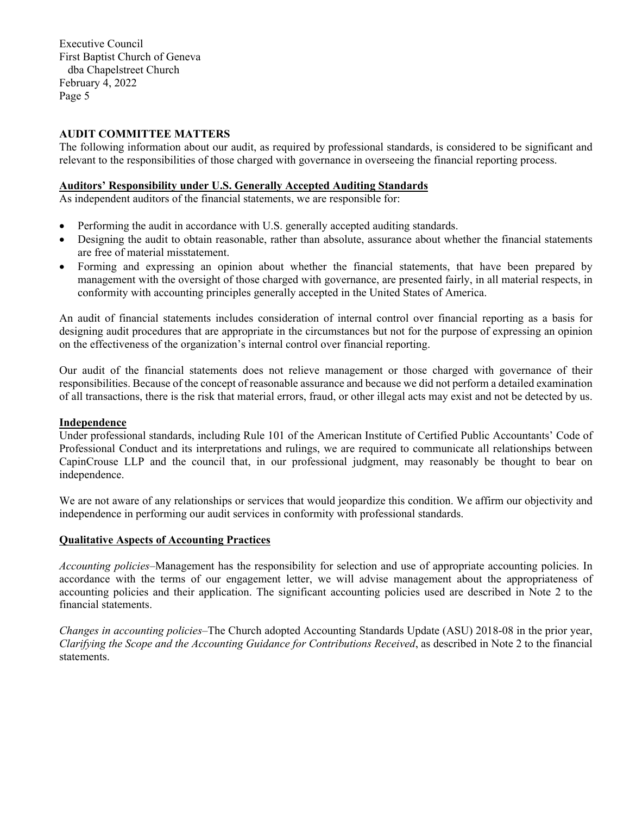## **AUDIT COMMITTEE MATTERS**

The following information about our audit, as required by professional standards, is considered to be significant and relevant to the responsibilities of those charged with governance in overseeing the financial reporting process.

## **Auditors' Responsibility under U.S. Generally Accepted Auditing Standards**

As independent auditors of the financial statements, we are responsible for:

- Performing the audit in accordance with U.S. generally accepted auditing standards.
- Designing the audit to obtain reasonable, rather than absolute, assurance about whether the financial statements are free of material misstatement.
- Forming and expressing an opinion about whether the financial statements, that have been prepared by management with the oversight of those charged with governance, are presented fairly, in all material respects, in conformity with accounting principles generally accepted in the United States of America.

An audit of financial statements includes consideration of internal control over financial reporting as a basis for designing audit procedures that are appropriate in the circumstances but not for the purpose of expressing an opinion on the effectiveness of the organization's internal control over financial reporting.

Our audit of the financial statements does not relieve management or those charged with governance of their responsibilities. Because of the concept of reasonable assurance and because we did not perform a detailed examination of all transactions, there is the risk that material errors, fraud, or other illegal acts may exist and not be detected by us.

### **Independence**

Under professional standards, including Rule 101 of the American Institute of Certified Public Accountants' Code of Professional Conduct and its interpretations and rulings, we are required to communicate all relationships between CapinCrouse LLP and the council that, in our professional judgment, may reasonably be thought to bear on independence.

We are not aware of any relationships or services that would jeopardize this condition. We affirm our objectivity and independence in performing our audit services in conformity with professional standards.

## **Qualitative Aspects of Accounting Practices**

*Accounting policies*–Management has the responsibility for selection and use of appropriate accounting policies. In accordance with the terms of our engagement letter, we will advise management about the appropriateness of accounting policies and their application. The significant accounting policies used are described in Note 2 to the financial statements.

*Changes in accounting policies*–The Church adopted Accounting Standards Update (ASU) 2018-08 in the prior year, *Clarifying the Scope and the Accounting Guidance for Contributions Received*, as described in Note 2 to the financial statements.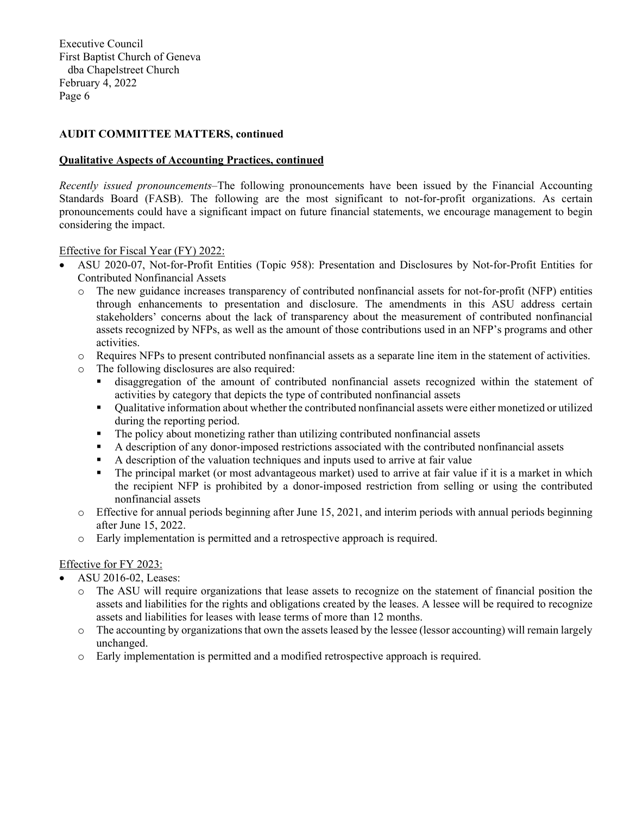## **AUDIT COMMITTEE MATTERS, continued**

#### **Qualitative Aspects of Accounting Practices, continued**

*Recently issued pronouncements*–The following pronouncements have been issued by the Financial Accounting Standards Board (FASB). The following are the most significant to not-for-profit organizations. As certain pronouncements could have a significant impact on future financial statements, we encourage management to begin considering the impact.

### Effective for Fiscal Year (FY) 2022:

- ASU 2020-07, Not-for-Profit Entities (Topic 958): Presentation and Disclosures by Not-for-Profit Entities for Contributed Nonfinancial Assets
	- o The new guidance increases transparency of contributed nonfinancial assets for not-for-profit (NFP) entities through enhancements to presentation and disclosure. The amendments in this ASU address certain stakeholders' concerns about the lack of transparency about the measurement of contributed nonfinancial assets recognized by NFPs, as well as the amount of those contributions used in an NFP's programs and other activities.
	- o Requires NFPs to present contributed nonfinancial assets as a separate line item in the statement of activities.
	- o The following disclosures are also required:
		- disaggregation of the amount of contributed nonfinancial assets recognized within the statement of activities by category that depicts the type of contributed nonfinancial assets
		- Qualitative information about whether the contributed nonfinancial assets were either monetized or utilized during the reporting period.
		- The policy about monetizing rather than utilizing contributed nonfinancial assets
		- A description of any donor-imposed restrictions associated with the contributed nonfinancial assets
		- A description of the valuation techniques and inputs used to arrive at fair value
		- The principal market (or most advantageous market) used to arrive at fair value if it is a market in which the recipient NFP is prohibited by a donor-imposed restriction from selling or using the contributed nonfinancial assets
	- $\circ$  Effective for annual periods beginning after June 15, 2021, and interim periods with annual periods beginning after June 15, 2022.
	- o Early implementation is permitted and a retrospective approach is required.

### Effective for FY 2023:

- ASU 2016-02, Leases:
	- o The ASU will require organizations that lease assets to recognize on the statement of financial position the assets and liabilities for the rights and obligations created by the leases. A lessee will be required to recognize assets and liabilities for leases with lease terms of more than 12 months.
	- o The accounting by organizations that own the assets leased by the lessee (lessor accounting) will remain largely unchanged.
	- o Early implementation is permitted and a modified retrospective approach is required.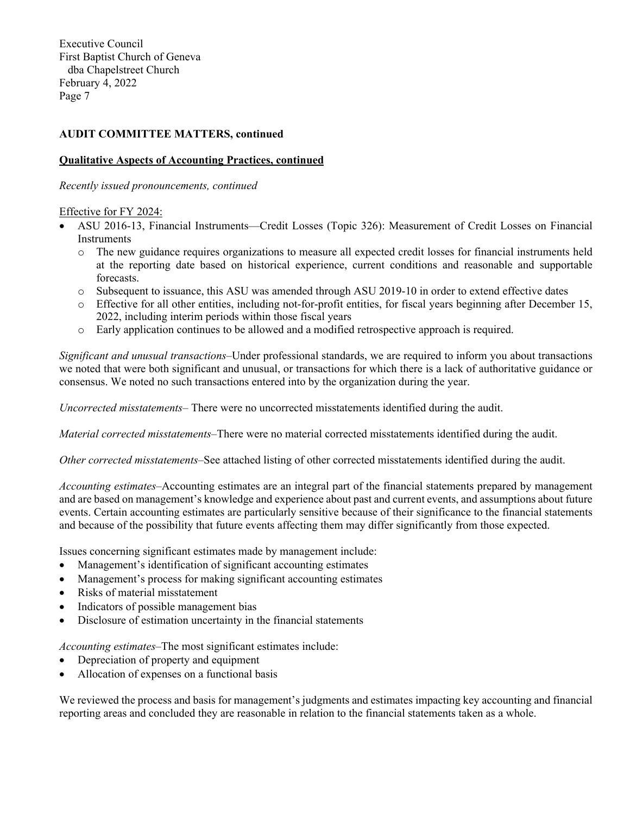## **AUDIT COMMITTEE MATTERS, continued**

### **Qualitative Aspects of Accounting Practices, continued**

*Recently issued pronouncements, continued* 

Effective for FY 2024:

- ASU 2016-13, Financial Instruments—Credit Losses (Topic 326): Measurement of Credit Losses on Financial Instruments
	- o The new guidance requires organizations to measure all expected credit losses for financial instruments held at the reporting date based on historical experience, current conditions and reasonable and supportable forecasts.
	- o Subsequent to issuance, this ASU was amended through ASU 2019-10 in order to extend effective dates
	- o Effective for all other entities, including not-for-profit entities, for fiscal years beginning after December 15, 2022, including interim periods within those fiscal years
	- o Early application continues to be allowed and a modified retrospective approach is required.

*Significant and unusual transactions*–Under professional standards, we are required to inform you about transactions we noted that were both significant and unusual, or transactions for which there is a lack of authoritative guidance or consensus. We noted no such transactions entered into by the organization during the year.

*Uncorrected misstatements–* There were no uncorrected misstatements identified during the audit.

*Material corrected misstatements–*There were no material corrected misstatements identified during the audit.

*Other corrected misstatements–*See attached listing of other corrected misstatements identified during the audit.

*Accounting estimates*–Accounting estimates are an integral part of the financial statements prepared by management and are based on management's knowledge and experience about past and current events, and assumptions about future events. Certain accounting estimates are particularly sensitive because of their significance to the financial statements and because of the possibility that future events affecting them may differ significantly from those expected.

Issues concerning significant estimates made by management include:

- Management's identification of significant accounting estimates
- Management's process for making significant accounting estimates
- Risks of material misstatement
- Indicators of possible management bias
- Disclosure of estimation uncertainty in the financial statements

*Accounting estimates*–The most significant estimates include:

- Depreciation of property and equipment
- Allocation of expenses on a functional basis

We reviewed the process and basis for management's judgments and estimates impacting key accounting and financial reporting areas and concluded they are reasonable in relation to the financial statements taken as a whole.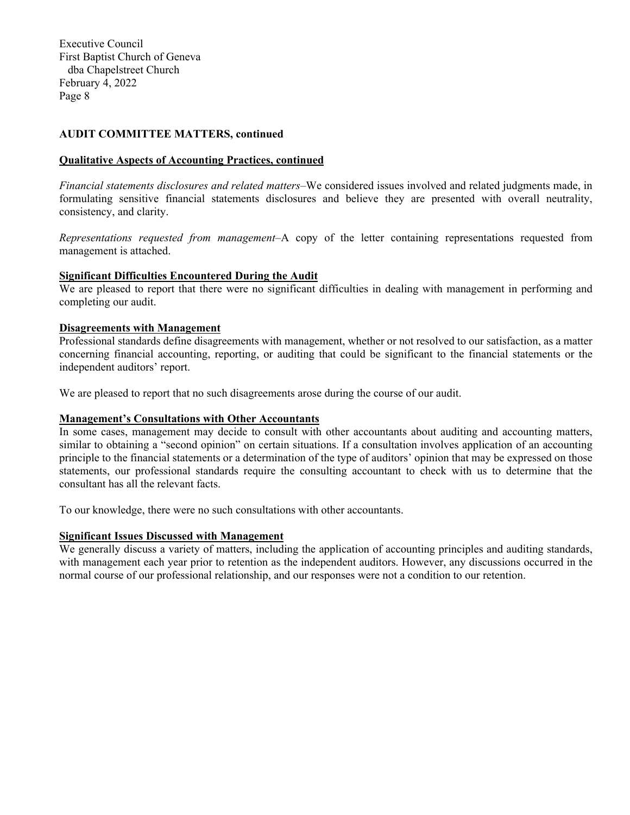## **AUDIT COMMITTEE MATTERS, continued**

#### **Qualitative Aspects of Accounting Practices, continued**

*Financial statements disclosures and related matters*–We considered issues involved and related judgments made, in formulating sensitive financial statements disclosures and believe they are presented with overall neutrality, consistency, and clarity.

*Representations requested from management*–A copy of the letter containing representations requested from management is attached.

### **Significant Difficulties Encountered During the Audit**

We are pleased to report that there were no significant difficulties in dealing with management in performing and completing our audit.

### **Disagreements with Management**

Professional standards define disagreements with management, whether or not resolved to our satisfaction, as a matter concerning financial accounting, reporting, or auditing that could be significant to the financial statements or the independent auditors' report.

We are pleased to report that no such disagreements arose during the course of our audit.

## **Management's Consultations with Other Accountants**

In some cases, management may decide to consult with other accountants about auditing and accounting matters, similar to obtaining a "second opinion" on certain situations. If a consultation involves application of an accounting principle to the financial statements or a determination of the type of auditors' opinion that may be expressed on those statements, our professional standards require the consulting accountant to check with us to determine that the consultant has all the relevant facts.

To our knowledge, there were no such consultations with other accountants.

#### **Significant Issues Discussed with Management**

We generally discuss a variety of matters, including the application of accounting principles and auditing standards, with management each year prior to retention as the independent auditors. However, any discussions occurred in the normal course of our professional relationship, and our responses were not a condition to our retention.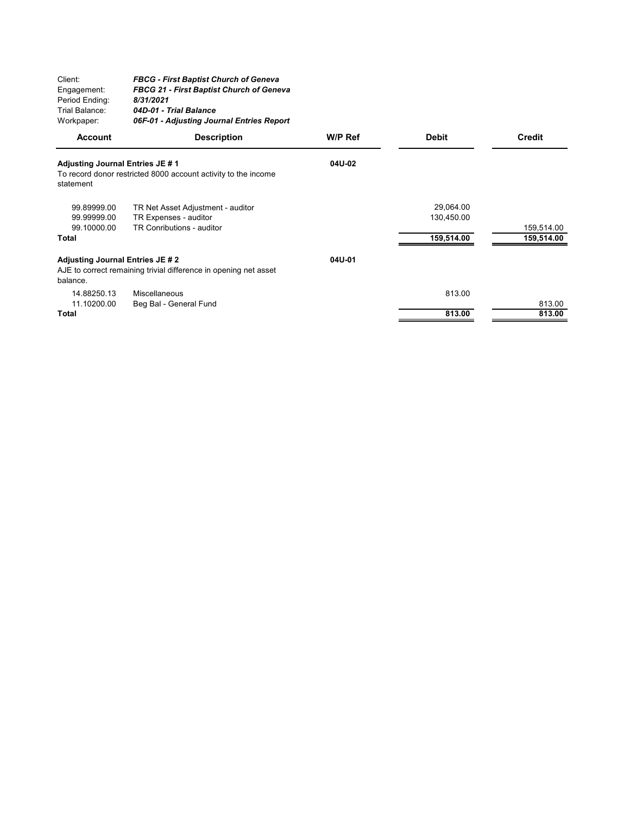| Client:        | <b>FBCG - First Baptist Church of Geneva</b>    |
|----------------|-------------------------------------------------|
| Engagement:    | <b>FBCG 21 - First Baptist Church of Geneva</b> |
| Period Ending: | 8/31/2021                                       |
| Trial Balance: | 04D-01 - Trial Balance                          |
| Workpaper:     | 06F-01 - Adjusting Journal Entries Report       |

| <b>Account</b>                                | <b>Description</b>                                               | W/P Ref | <b>Debit</b> | <b>Credit</b> |
|-----------------------------------------------|------------------------------------------------------------------|---------|--------------|---------------|
| Adjusting Journal Entries JE # 1<br>statement | To record donor restricted 8000 account activity to the income   | 04U-02  |              |               |
|                                               |                                                                  |         |              |               |
| 99.89999.00                                   | TR Net Asset Adjustment - auditor                                |         | 29,064.00    |               |
| 99.99999.00                                   | TR Expenses - auditor                                            |         | 130,450.00   |               |
| 99.10000.00                                   | TR Conributions - auditor                                        |         |              | 159,514.00    |
| <b>Total</b>                                  |                                                                  |         | 159,514.00   | 159,514.00    |
| <b>Adjusting Journal Entries JE #2</b>        |                                                                  | 04U-01  |              |               |
| balance.                                      | AJE to correct remaining trivial difference in opening net asset |         |              |               |
| 14.88250.13                                   | Miscellaneous                                                    |         | 813.00       |               |
| 11.10200.00                                   | Beg Bal - General Fund                                           |         |              | 813.00        |
| Total                                         |                                                                  |         | 813.00       | 813.00        |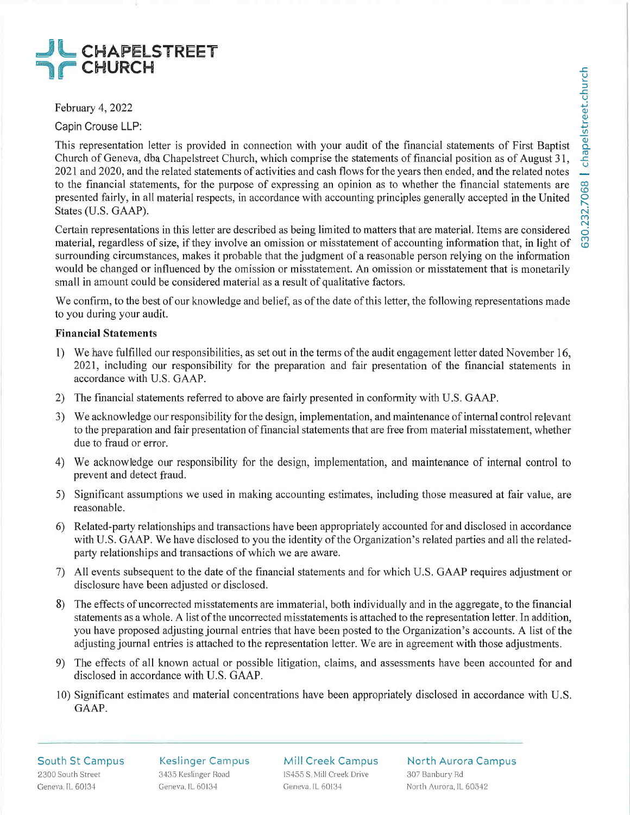# JL CHAPELSTR J7 CHURCH

February 4, 2022

Capin Crouse LLP:

This representation letter is provided in connection with your audit of the financial statements of First Baptist Church of Geneva, dba Chapelstreet Church, which comprise the statements of financial position as of August 31, 2021 and 2020, and the related statements of activities and cash flows for the years then ended, and the related notes to the financial statements, for the purpose of expressing an opinion as to whether the financial statements are presented fairly, in all material respects, in accordance with accounting principles generally accepted in the United States (U.S. GAAP).

Certain representations in this letter are described as being limited to matters that are material. Items are considered material, regardless of size, if they involve an omission or misstatement of accounting information that, in light of surrounding circumstances, makes it probable that the judgment of a reasonable person relying on the information would be changed or influenced by the omission or misstatement. An omission or misstatement that is monetarily small in amount could be considered material as a result of qualitative factors.

We confirm, to the best of our knowledge and belief, as of the date of this letter, the following representations made to you during your audit.

## Financial Statements

- l) We have fulfilled our responsibilities, as set out in the terms of the audit engagement letter dated November 16, 2021, including our responsibility for the preparation and fair presentation of the financial statements in accordance with U.S. GAAP.
- 2) The financial statements referred to above are fairly presented in conformity with U.S. GAAP.
- 3) We acknowledge our responsibility for the design, implementation, and maintenance of internal control relevant to the preparation and fair presentation of financial statements that are free from material misstatement, whether due to fraud or error.
- 4) We acknowledge our responsibility for the design, implementation, and maintenance of internal control to prevent and detect fraud.
- 5) Significant assumptions we used in making accounting estimates, including those measured at fair value, are reasonable.
- 6) Related-party relationships and transactions have been appropriately accounted for and disclosed in accordance with U.S. GAAP. We have disclosed to you the identity of the Organization's related parties and all the relatedparty relationships and transactions of which we are aware.
- 7) All events subsequent to the date of the financial statements and for which U.S. GAAP requires adjustment or disclosure have been adjusted or disclosed.
- 8) The effects of uncorrected misstatements are immaterial, both individually and in the aggregate, to the financial statements as a whole. A list of the uncorrected misstatements is attached to the representation letter. In addition, you have proposed adjusting journal entries that have been posted to the Organization's accounts. A list of the adjusting journal entries is attached to the representation letter. We are in agreement with those adjustments.
- 9) The effects of all known actual or possible litigation, claims, and assessments have been accounted for and disclosed in accordance with U.S. GAAP.
- 10) Significant estimates and material concentrations have been appropriately disclosed in accordance with U.S. GAAP.

South St Campus 2300 South Street Geneva, IL 60134

Keslinger Campus 3435 Keslinger Road Geneva, IL 60134

Mill Creek Campus 1S455 S. Mill Creek Drive Geneva, IL 60134

North Aurora Campus 307 Banbury Rd North Aurora, IL 60542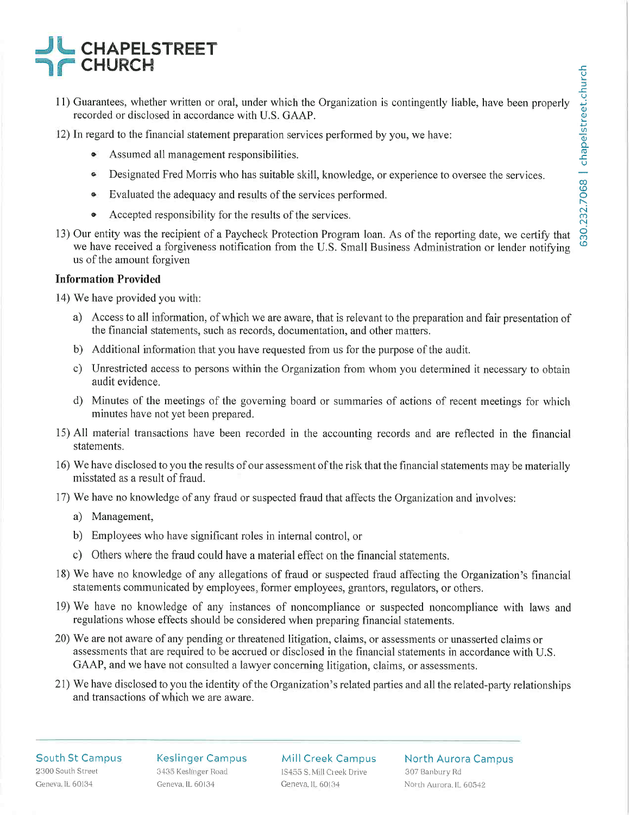# **CHAPELSTREET TIF CHURCH**

- 11) Guarantees, whether written or oral, under which the Organization is contingently liable, have been properly recorded or disclosed in accordance with U.S. GAAP.
- 12) In regard to the financial statement preparation services performed by you, we have:
	- Assumed all management responsibilities.
	- Designated Fred Morris who has suitable skill, knowledge, or experience to oversee the services.
	- Evaluated the adequacy and results of the services performed.
	- Accepted responsibility for the results of the services.
- 13) Our entity was the recipient of a Paycheck Protection Program loan. As of the reporting date, we certify that we have received a forgiveness notification from the U.S. Small Business Administration or lender notifying us of the amount forgiven

# Information Provided

14) We have provided you witli:

- a) Access to all information, of which we are aware, that is relevant to the preparation and fair presentation of the financial statements, such as records, documentation, and other matters.
- b) Additional information that you have requested from us for the purpose of the audit.
- c) Unrestricted access to persons within the Organization from whom you determined it necessary to obtain audit evidence.
- d) Minutes of the meetings of the governing board or summaries of actions of recent meetings for which minutes have not yet been prepared.
- 15) All material transactions have been recorded in the accounting records and are reflected in the financial statements.
- 16) We have disclosed to you the results of our assessment of the risk that the financial statements may be materially misstated as a result of fraud.
- 17) We have no knowledge of any fraud or suspected fraud that affects the Organization and involves:
	- a) Management,
	- b) Employees who have significant roles in internal control, or
	- c) Others where the fraud could have a material effect on the financial statements.
- 18) We have no knowledge of any allegations of fraud or suspected fraud affecting the Organization's financial statements communicated by employees, former employees, grantors, regulators, or others.
- 19) We have no knowledge of any instances of noncompliance or suspected noncompliance with laws and regulations whose effects should be considered when preparing financial statements.
- 20) We are not aware of any pending or threatened litigation, claims, or assessments or unasserted claims or assessments that are required to be accrued or disclosed in the financial statements in accordance with U.S. GAAP, and we have not consulted a lawyer concerning litigation, claims, or assessments.
- 21) We have disclosed to you the identity of the Organization's related parties and all the related-party relationships and transactions of which we are aware.

#### South St Campus 2300 South Street Geneva. IL 60134

Keslinger Campus 3435 Keslinger Road Geneva, IL 60134

Mill Creek Campus 1S455 S. Mill Creek Drive Geneva. IL 60134

North Aurora Campus 307 Banbury Rd North Aurora, IL 60542